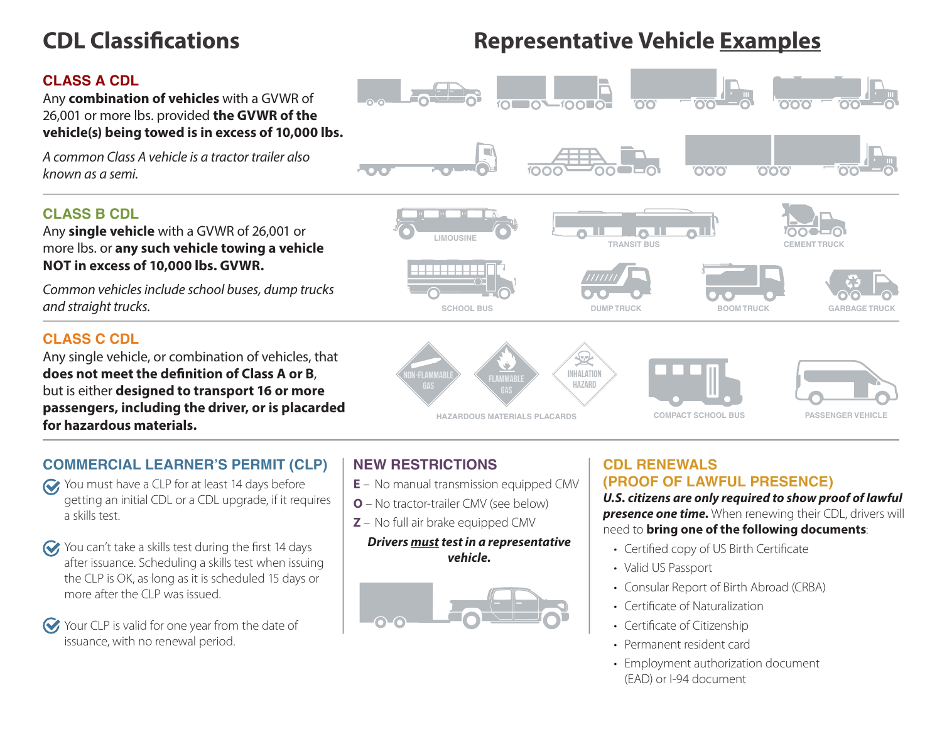# **CDL Classifications Representative Vehicle Examples**

 $\overline{10010}$ 

## **CLASS A CDL**

Any **combination of vehicles** with a GVWR of 26,001 or more lbs. provided **the GVWR of the vehicle(s) being towed is in excess of 10,000 lbs.**

*A common Class A vehicle is a tractor trailer also known as a semi.*

### **CLASS B CDL**

Any **single vehicle** with a GVWR of 26,001 or more lbs. or **any such vehicle towing a vehicle NOT in excess of 10,000 lbs. GVWR.** 

*Common vehicles include school buses, dump trucks and straight trucks.*

### **CLASS C CDL**

Any single vehicle, or combination of vehicles, that **does not meet the definition of Class A or B**, but is either **designed to transport 16 or more passengers, including the driver, or is placarded for hazardous materials.**



### **COMMERCIAL LEARNER'S PERMIT (CLP)**

- You must have a CLP for at least 14 days before getting an initial CDL or a CDL upgrade, if it requires a skills test.
- You can't take a skills test during the first 14 days after issuance. Scheduling a skills test when issuing the CLP is OK, as long as it is scheduled 15 days or more after the CLP was issued.
- Your CLP is valid for one year from the date of issuance, with no renewal period.

### **NEW RESTRICTIONS**

- **E** No manual transmission equipped CMV
- **O** No tractor-trailer CMV (see below)
- **Z** No full air brake equipped CMV

### *Drivers must test in a representative vehicle.*



### **CDL RENEWALS (PROOF OF LAWFUL PRESENCE)**

 $\bullet$   $\bullet$   $\bullet$ 

 $000$ 

*U.S. citizens are only required to show proof of lawful*  **presence one time.** When renewing their CDL, drivers will need to **bring one of the following documents**:

- Certified copy of US Birth Certificate
- Valid US Passport
- Consular Report of Birth Abroad (CRBA)
- Certificate of Naturalization
- Certificate of Citizenship
- Permanent resident card
- Employment authorization document (EAD) or I-94 document